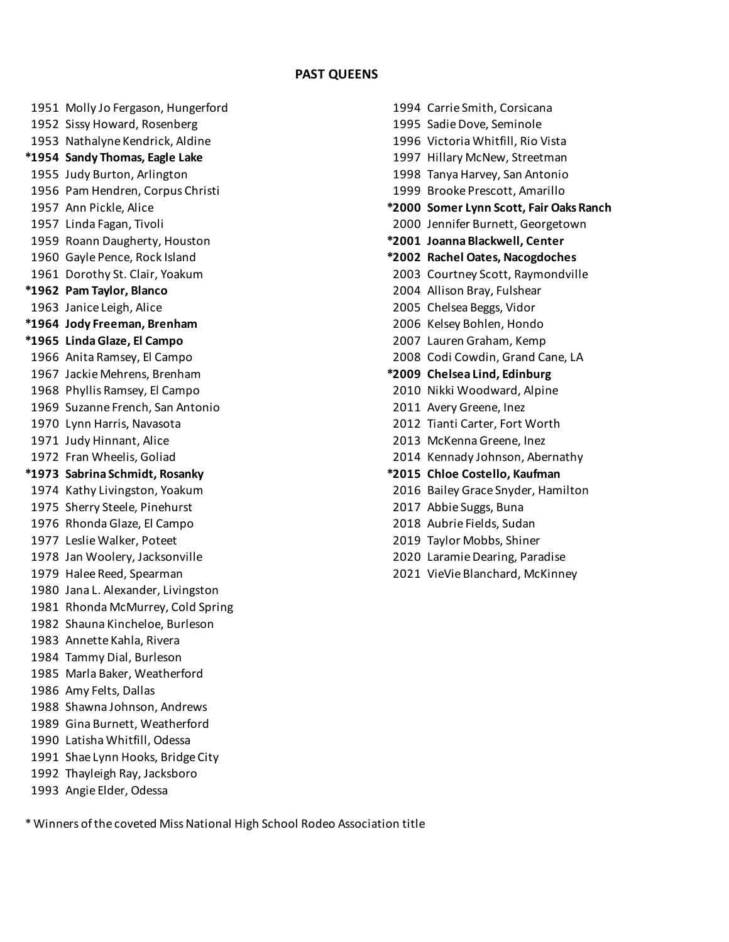## **PAST QUEENS**

 Molly Jo Fergason, Hungerford 1994 Carrie Smith, Corsicana Sissy Howard, Rosenberg 1995 Sadie Dove, Seminole Nathalyne Kendrick, Aldine 1996 Victoria Whitfill, Rio Vista **\*1954 Sandy Thomas, Eagle Lake** 1997 Hillary McNew, Streetman Judy Burton, Arlington 1998 Tanya Harvey, San Antonio Pam Hendren, Corpus Christi 1999 Brooke Prescott, Amarillo Roann Daugherty, Houston **\*2001 Joanna Blackwell, Center** Gayle Pence, Rock Island **\*2002 Rachel Oates, Nacogdoches \*1962 Pam Taylor, Blanco** 2004 Allison Bray, Fulshear Janice Leigh, Alice 2005 Chelsea Beggs, Vidor **\*1964 Jody Freeman, Brenham** 2006 Kelsey Bohlen, Hondo **\*1965 Linda Glaze, El Campo** 2007 Lauren Graham, Kemp Jackie Mehrens, Brenham **\*2009 Chelsea Lind, Edinburg** Phyllis Ramsey, El Campo 2010 Nikki Woodward, Alpine Suzanne French, San Antonio 2011 Avery Greene, Inez Lynn Harris, Navasota 2012 Tianti Carter, Fort Worth Judy Hinnant, Alice 2013 McKenna Greene, Inez **\*1973 Sabrina Schmidt, Rosanky \*2015 Chloe Costello, Kaufman** Sherry Steele, Pinehurst 2017 Abbie Suggs, Buna Rhonda Glaze, El Campo 2018 Aubrie Fields, Sudan Leslie Walker, Poteet 2019 Taylor Mobbs, Shiner Jan Woolery, Jacksonville 2020 Laramie Dearing, Paradise Halee Reed, Spearman 2021 VieVie Blanchard, McKinney Jana L. Alexander, Livingston Rhonda McMurrey, Cold Spring Shauna Kincheloe, Burleson Annette Kahla, Rivera Tammy Dial, Burleson Marla Baker, Weatherford Amy Felts, Dallas Shawna Johnson, Andrews Gina Burnett, Weatherford Latisha Whitfill, Odessa Shae Lynn Hooks, Bridge City Thayleigh Ray, Jacksboro Angie Elder, Odessa

 Ann Pickle, Alice **\*2000 Somer Lynn Scott, Fair Oaks Ranch** Linda Fagan, Tivoli 2000 Jennifer Burnett, Georgetown Dorothy St. Clair, Yoakum 2003 Courtney Scott, Raymondville Anita Ramsey, El Campo 2008 Codi Cowdin, Grand Cane, LA Fran Wheelis, Goliad 2014 Kennady Johnson, Abernathy Kathy Livingston, Yoakum 2016 Bailey Grace Snyder, Hamilton

\* Winners of the coveted Miss National High School Rodeo Association title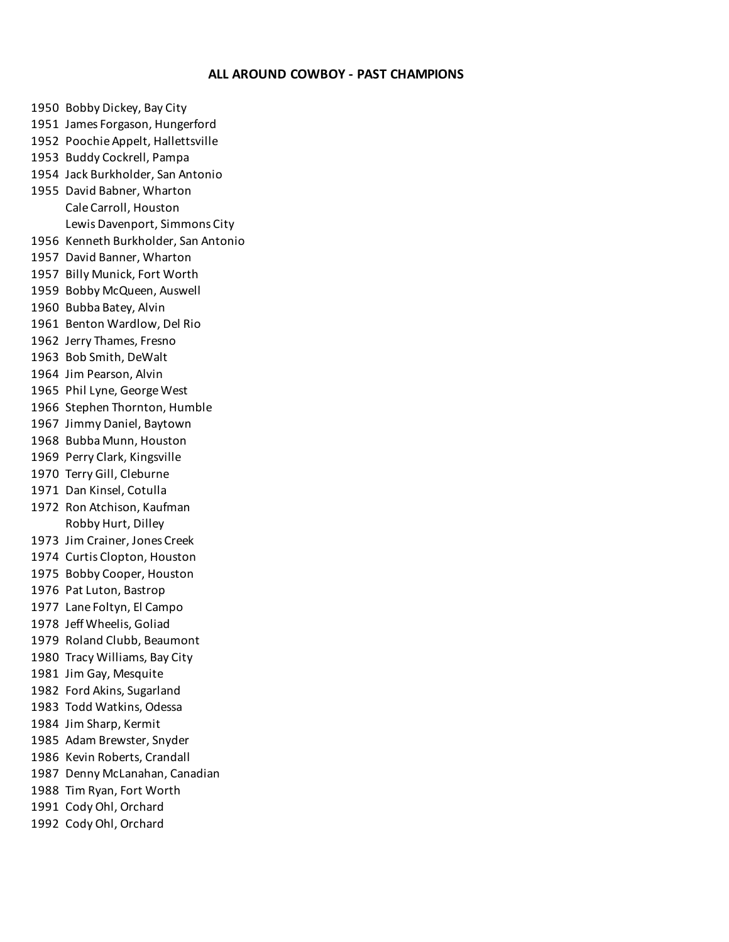# **ALL AROUND COWBOY - PAST CHAMPIONS**

 Bobby Dickey, Bay City James Forgason, Hungerford Poochie Appelt, Hallettsville Buddy Cockrell, Pampa Jack Burkholder, San Antonio David Babner, Wharton Cale Carroll, Houston Lewis Davenport, Simmons City Kenneth Burkholder, San Antonio David Banner, Wharton Billy Munick, Fort Worth Bobby McQueen, Auswell Bubba Batey, Alvin Benton Wardlow, Del Rio Jerry Thames, Fresno Bob Smith, DeWalt Jim Pearson, Alvin Phil Lyne, George West Stephen Thornton, Humble Jimmy Daniel, Baytown Bubba Munn, Houston Perry Clark, Kingsville Terry Gill, Cleburne Dan Kinsel, Cotulla Ron Atchison, Kaufman Robby Hurt, Dilley Jim Crainer, Jones Creek Curtis Clopton, Houston Bobby Cooper, Houston Pat Luton, Bastrop Lane Foltyn, El Campo Jeff Wheelis, Goliad Roland Clubb, Beaumont Tracy Williams, Bay City Jim Gay, Mesquite Ford Akins, Sugarland Todd Watkins, Odessa Jim Sharp, Kermit Adam Brewster, Snyder Kevin Roberts, Crandall Denny McLanahan, Canadian Tim Ryan, Fort Worth Cody Ohl, Orchard Cody Ohl, Orchard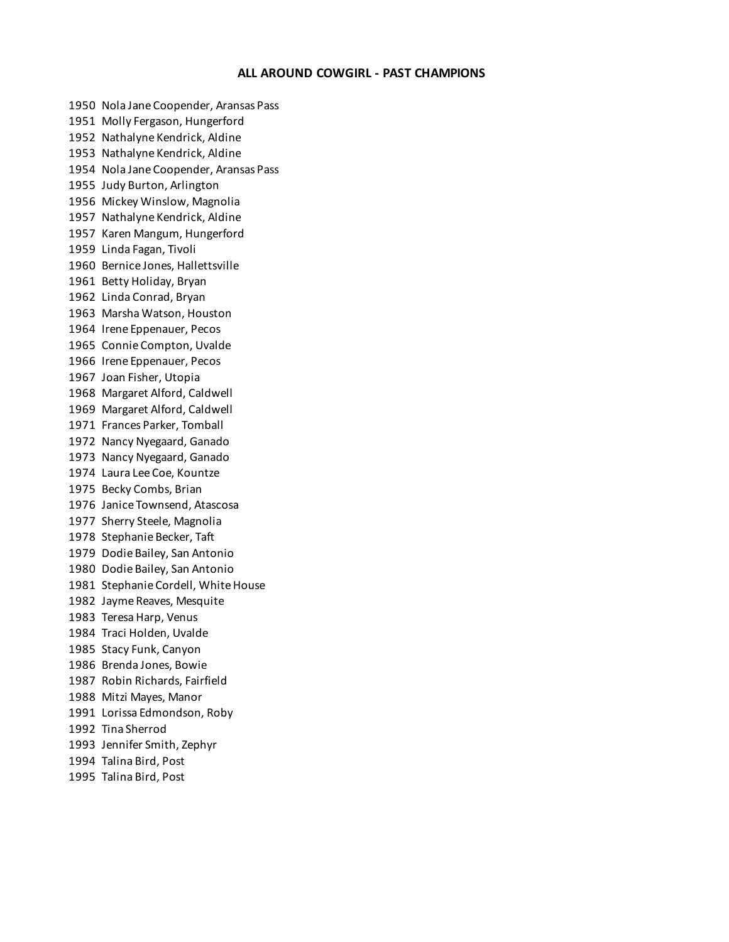#### **ALL AROUND COWGIRL - PAST CHAMPIONS**

 Nola Jane Coopender, Aransas Pass Molly Fergason, Hungerford Nathalyne Kendrick, Aldine Nathalyne Kendrick, Aldine Nola Jane Coopender, Aransas Pass Judy Burton, Arlington Mickey Winslow, Magnolia Nathalyne Kendrick, Aldine Karen Mangum, Hungerford Linda Fagan, Tivoli Bernice Jones, Hallettsville Betty Holiday, Bryan Linda Conrad, Bryan Marsha Watson, Houston Irene Eppenauer, Pecos Connie Compton, Uvalde Irene Eppenauer, Pecos Joan Fisher, Utopia Margaret Alford, Caldwell Margaret Alford, Caldwell Frances Parker, Tomball Nancy Nyegaard, Ganado Nancy Nyegaard, Ganado Laura Lee Coe, Kountze Becky Combs, Brian Janice Townsend, Atascosa Sherry Steele, Magnolia Stephanie Becker, Taft Dodie Bailey, San Antonio Dodie Bailey, San Antonio Stephanie Cordell, White House Jayme Reaves, Mesquite Teresa Harp, Venus Traci Holden, Uvalde Stacy Funk, Canyon Brenda Jones, Bowie Robin Richards, Fairfield Mitzi Mayes, Manor Lorissa Edmondson, Roby Tina Sherrod Jennifer Smith, Zephyr Talina Bird, Post

Talina Bird, Post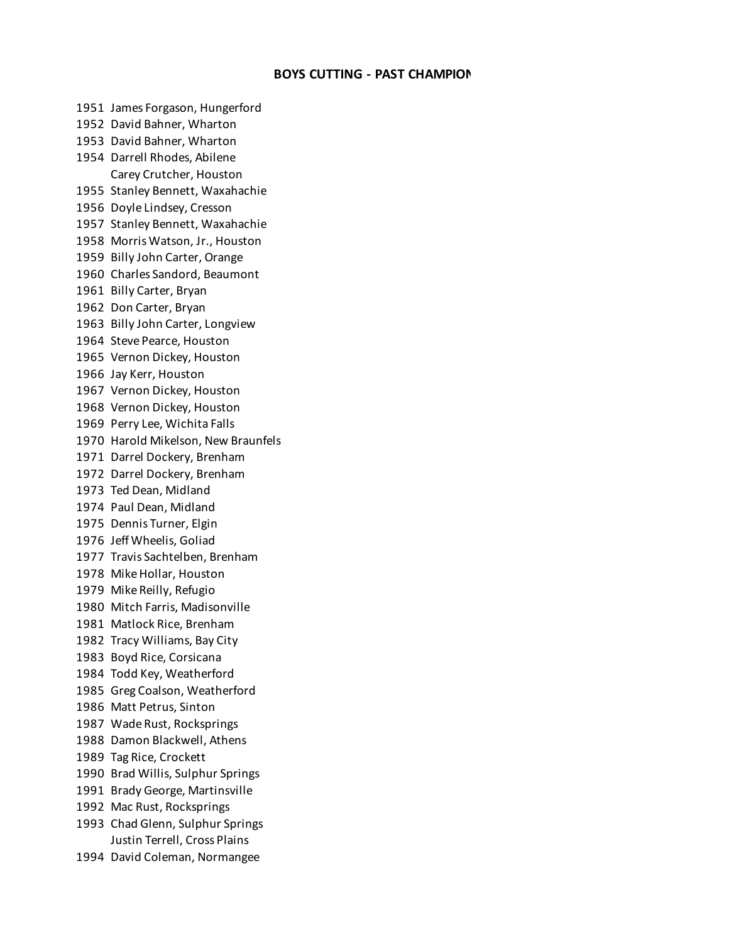# **BOYS CUTTING - PAST CHAMPION**

 James Forgason, Hungerford David Bahner, Wharton David Bahner, Wharton Darrell Rhodes, Abilene Carey Crutcher, Houston Stanley Bennett, Waxahachie Doyle Lindsey, Cresson Stanley Bennett, Waxahachie Morris Watson, Jr., Houston Billy John Carter, Orange Charles Sandord, Beaumont Billy Carter, Bryan Don Carter, Bryan Billy John Carter, Longview Steve Pearce, Houston Vernon Dickey, Houston Jay Kerr, Houston Vernon Dickey, Houston Vernon Dickey, Houston Perry Lee, Wichita Falls Harold Mikelson, New Braunfels Darrel Dockery, Brenham Darrel Dockery, Brenham Ted Dean, Midland Paul Dean, Midland Dennis Turner, Elgin Jeff Wheelis, Goliad Travis Sachtelben, Brenham Mike Hollar, Houston Mike Reilly, Refugio Mitch Farris, Madisonville Matlock Rice, Brenham Tracy Williams, Bay City Boyd Rice, Corsicana Todd Key, Weatherford Greg Coalson, Weatherford Matt Petrus, Sinton Wade Rust, Rocksprings Damon Blackwell, Athens Tag Rice, Crockett Brad Willis, Sulphur Springs Brady George, Martinsville Mac Rust, Rocksprings Chad Glenn, Sulphur Springs Justin Terrell, Cross Plains David Coleman, Normangee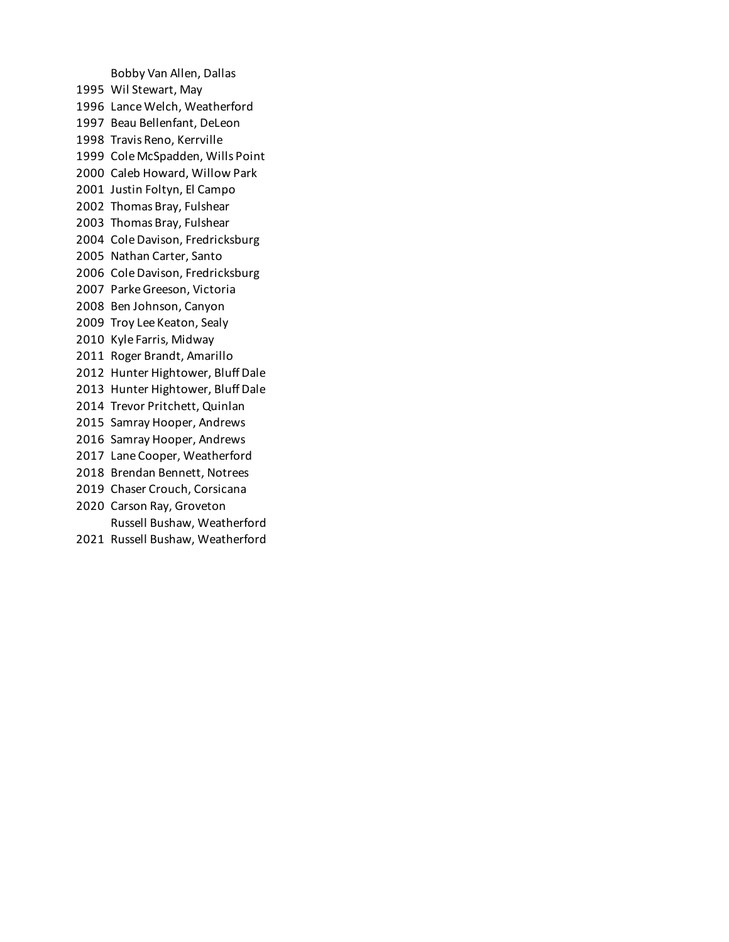Bobby Van Allen, Dallas Wil Stewart, May Lance Welch, Weatherford Beau Bellenfant, DeLeon Travis Reno, Kerrville Cole McSpadden, Wills Point Caleb Howard, Willow Park Justin Foltyn, El Campo Thomas Bray, Fulshear Thomas Bray, Fulshear Cole Davison, Fredricksburg Nathan Carter, Santo Cole Davison, Fredricksburg Parke Greeson, Victoria Ben Johnson, Canyon Troy Lee Keaton, Sealy Kyle Farris, Midway Roger Brandt, Amarillo Hunter Hightower, Bluff Dale Hunter Hightower, Bluff Dale Trevor Pritchett, Quinlan Samray Hooper, Andrews Samray Hooper, Andrews Lane Cooper, Weatherford Brendan Bennett, Notrees Chaser Crouch, Corsicana Carson Ray, Groveton Russell Bushaw, Weatherford

Russell Bushaw, Weatherford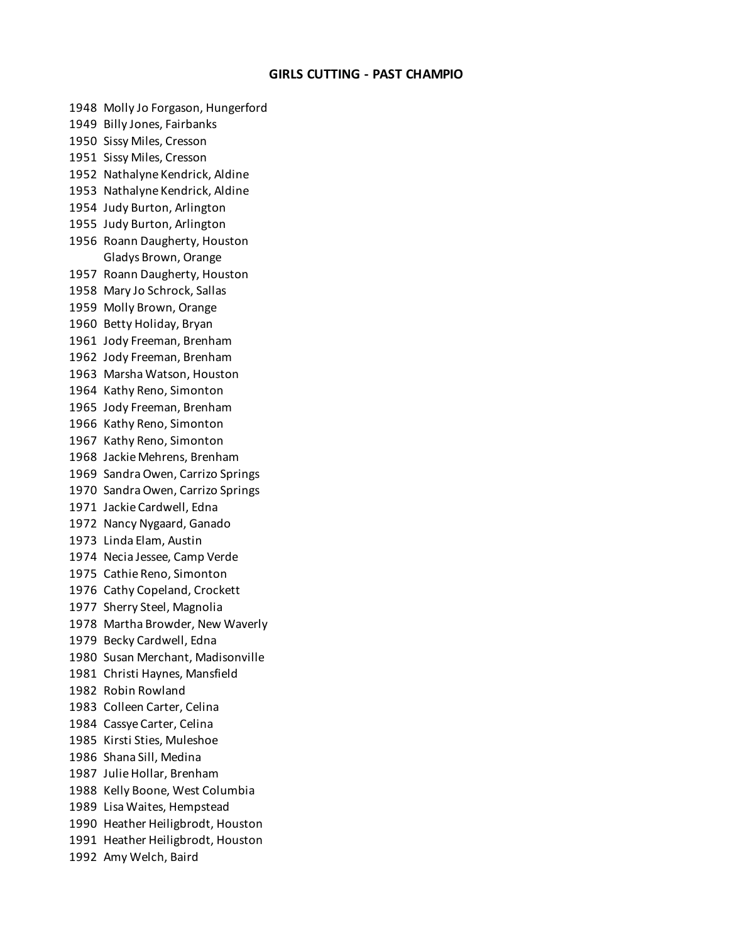# **GIRLS CUTTING - PAST CHAMPIO**

 Molly Jo Forgason, Hungerford Billy Jones, Fairbanks Sissy Miles, Cresson Sissy Miles, Cresson Nathalyne Kendrick, Aldine Nathalyne Kendrick, Aldine Judy Burton, Arlington Judy Burton, Arlington Roann Daugherty, Houston Gladys Brown, Orange Roann Daugherty, Houston Mary Jo Schrock, Sallas Molly Brown, Orange Betty Holiday, Bryan Jody Freeman, Brenham Jody Freeman, Brenham Marsha Watson, Houston Kathy Reno, Simonton Jody Freeman, Brenham Kathy Reno, Simonton Kathy Reno, Simonton Jackie Mehrens, Brenham Sandra Owen, Carrizo Springs Sandra Owen, Carrizo Springs Jackie Cardwell, Edna Nancy Nygaard, Ganado Linda Elam, Austin Necia Jessee, Camp Verde Cathie Reno, Simonton Cathy Copeland, Crockett Sherry Steel, Magnolia Martha Browder, New Waverly Becky Cardwell, Edna Susan Merchant, Madisonville Christi Haynes, Mansfield Robin Rowland Colleen Carter, Celina Cassye Carter, Celina Kirsti Sties, Muleshoe Shana Sill, Medina Julie Hollar, Brenham Kelly Boone, West Columbia Lisa Waites, Hempstead Heather Heiligbrodt, Houston Heather Heiligbrodt, Houston Amy Welch, Baird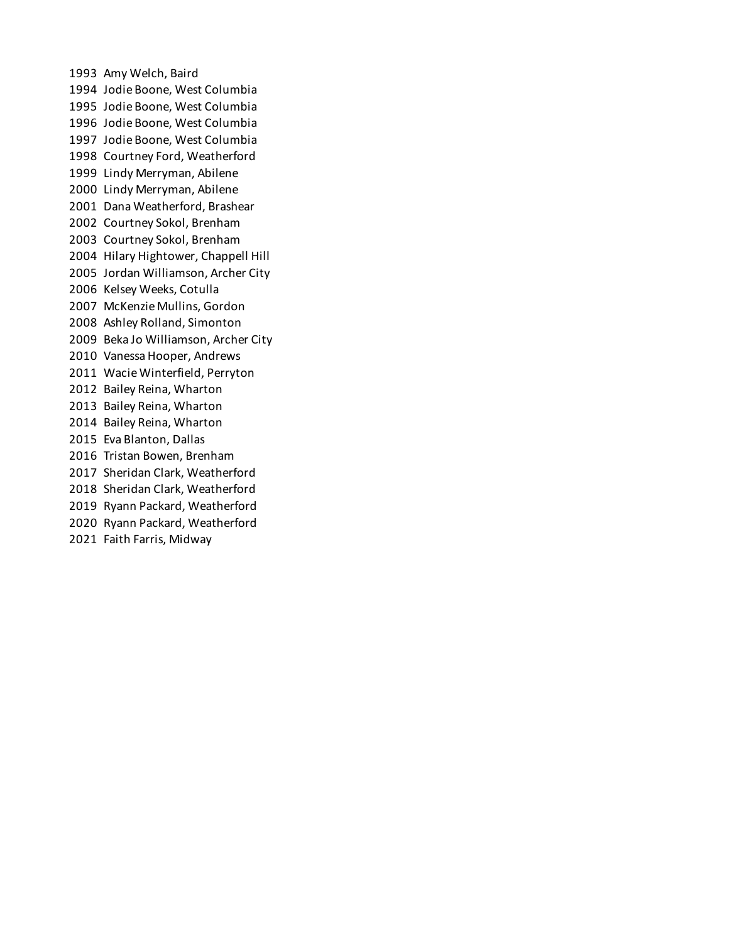Amy Welch, Baird Jodie Boone, West Columbia Jodie Boone, West Columbia Jodie Boone, West Columbia Jodie Boone, West Columbia Courtney Ford, Weatherford Lindy Merryman, Abilene Lindy Merryman, Abilene Dana Weatherford, Brashear Courtney Sokol, Brenham Courtney Sokol, Brenham Hilary Hightower, Chappell Hill Jordan Williamson, Archer City Kelsey Weeks, Cotulla McKenzie Mullins, Gordon Ashley Rolland, Simonton Beka Jo Williamson, Archer City Vanessa Hooper, Andrews Wacie Winterfield, Perryton Bailey Reina, Wharton Bailey Reina, Wharton Bailey Reina, Wharton Eva Blanton, Dallas Tristan Bowen, Brenham Sheridan Clark, Weatherford Sheridan Clark, Weatherford Ryann Packard, Weatherford Ryann Packard, Weatherford Faith Farris, Midway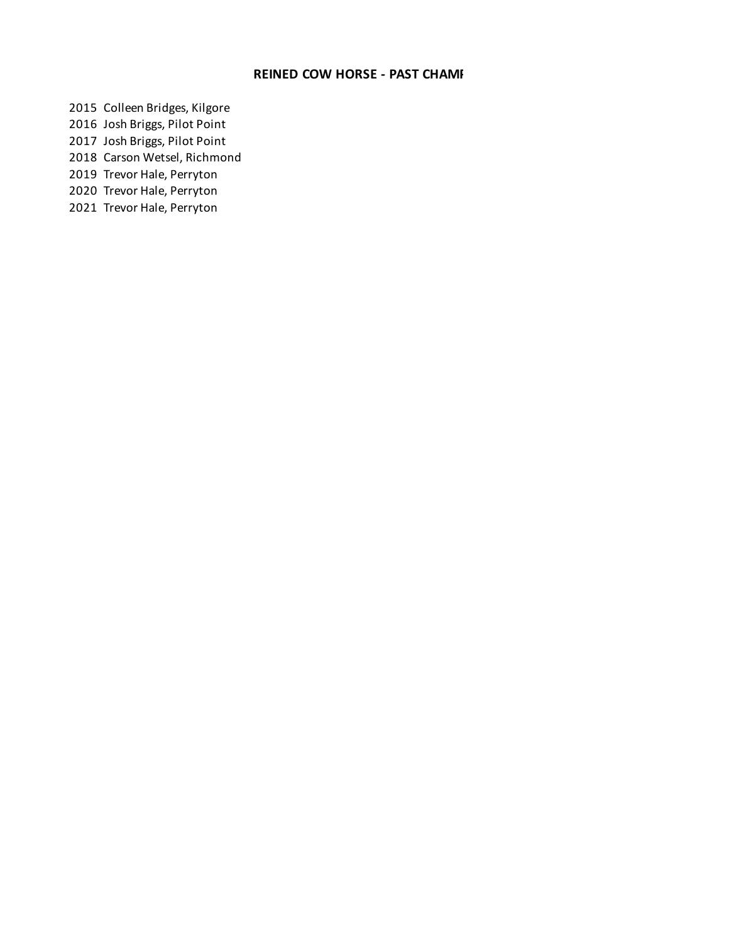# **REINED COW HORSE - PAST CHAMI**

 Colleen Bridges, Kilgore Josh Briggs, Pilot Point Josh Briggs, Pilot Point Carson Wetsel, Richmond Trevor Hale, Perryton

Trevor Hale, Perryton

Trevor Hale, Perryton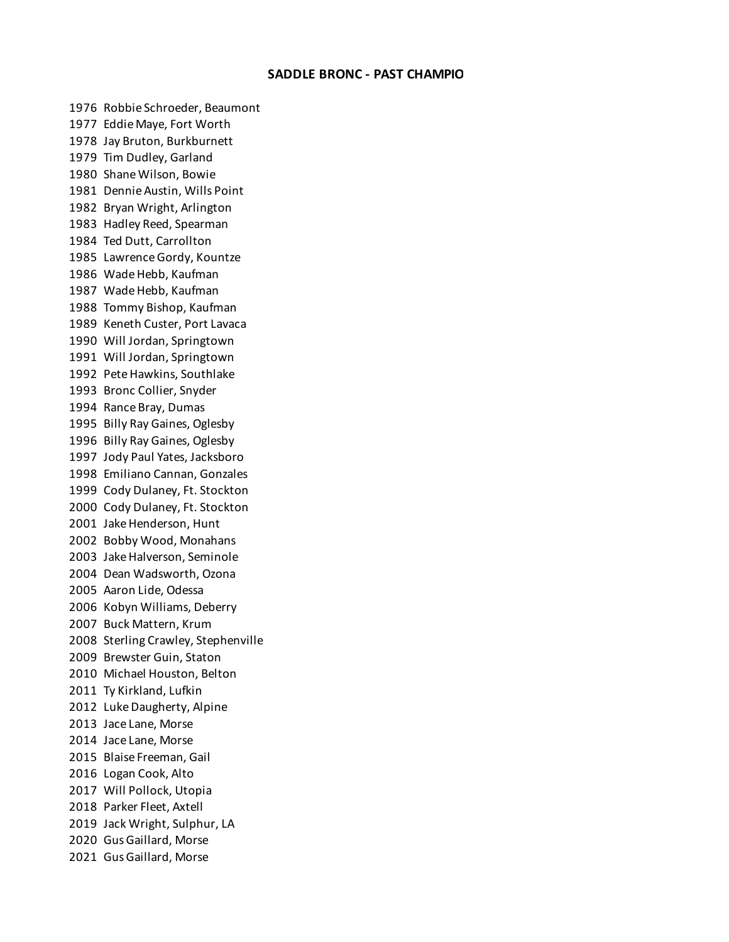## **SADDLE BRONC - PAST CHAMPIO**

 Robbie Schroeder, Beaumont Eddie Maye, Fort Worth Jay Bruton, Burkburnett Tim Dudley, Garland Shane Wilson, Bowie Dennie Austin, Wills Point Bryan Wright, Arlington Hadley Reed, Spearman Ted Dutt, Carrollton Lawrence Gordy, Kountze Wade Hebb, Kaufman Wade Hebb, Kaufman Tommy Bishop, Kaufman Keneth Custer, Port Lavaca Will Jordan, Springtown Will Jordan, Springtown Pete Hawkins, Southlake Bronc Collier, Snyder Rance Bray, Dumas Billy Ray Gaines, Oglesby Billy Ray Gaines, Oglesby Jody Paul Yates, Jacksboro Emiliano Cannan, Gonzales Cody Dulaney, Ft. Stockton Cody Dulaney, Ft. Stockton Jake Henderson, Hunt Bobby Wood, Monahans Jake Halverson, Seminole Dean Wadsworth, Ozona Aaron Lide, Odessa Kobyn Williams, Deberry Buck Mattern, Krum Sterling Crawley, Stephenville Brewster Guin, Staton Michael Houston, Belton Ty Kirkland, Lufkin Luke Daugherty, Alpine Jace Lane, Morse Jace Lane, Morse Blaise Freeman, Gail Logan Cook, Alto Will Pollock, Utopia Parker Fleet, Axtell Jack Wright, Sulphur, LA Gus Gaillard, Morse Gus Gaillard, Morse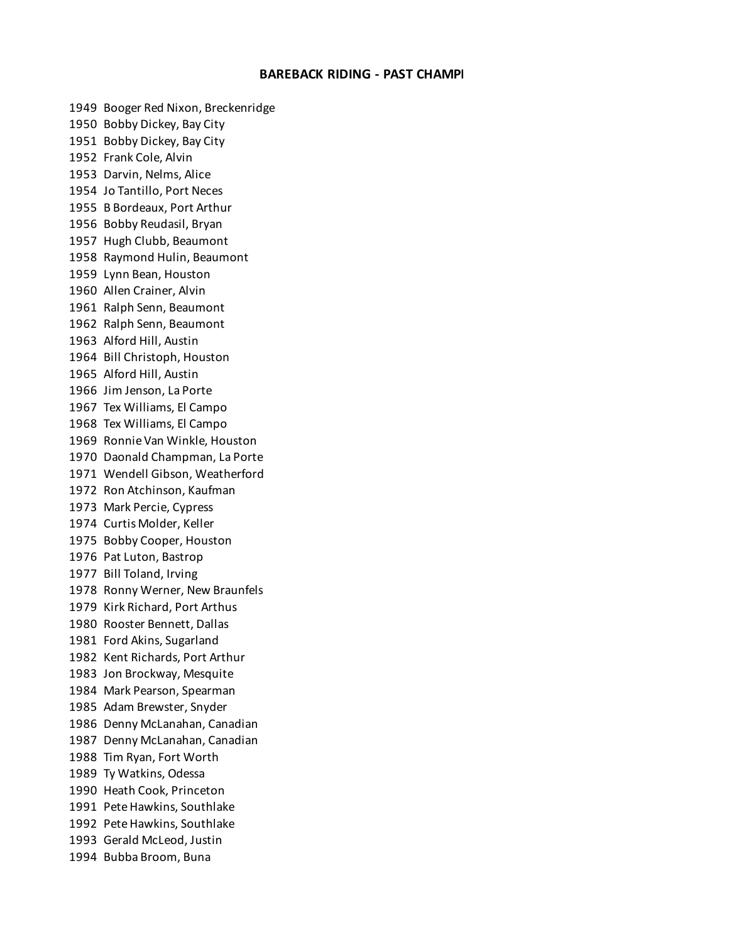### **BAREBACK RIDING - PAST CHAMPI**

 Booger Red Nixon, Breckenridge Bobby Dickey, Bay City Bobby Dickey, Bay City Frank Cole, Alvin Darvin, Nelms, Alice Jo Tantillo, Port Neces B Bordeaux, Port Arthur Bobby Reudasil, Bryan Hugh Clubb, Beaumont Raymond Hulin, Beaumont Lynn Bean, Houston Allen Crainer, Alvin Ralph Senn, Beaumont Ralph Senn, Beaumont Alford Hill, Austin Bill Christoph, Houston Alford Hill, Austin Jim Jenson, La Porte Tex Williams, El Campo Tex Williams, El Campo Ronnie Van Winkle, Houston Daonald Champman, La Porte Wendell Gibson, Weatherford Ron Atchinson, Kaufman Mark Percie, Cypress Curtis Molder, Keller Bobby Cooper, Houston Pat Luton, Bastrop Bill Toland, Irving Ronny Werner, New Braunfels Kirk Richard, Port Arthus Rooster Bennett, Dallas Ford Akins, Sugarland Kent Richards, Port Arthur Jon Brockway, Mesquite Mark Pearson, Spearman Adam Brewster, Snyder Denny McLanahan, Canadian Denny McLanahan, Canadian Tim Ryan, Fort Worth Ty Watkins, Odessa Heath Cook, Princeton Pete Hawkins, Southlake Pete Hawkins, Southlake Gerald McLeod, Justin Bubba Broom, Buna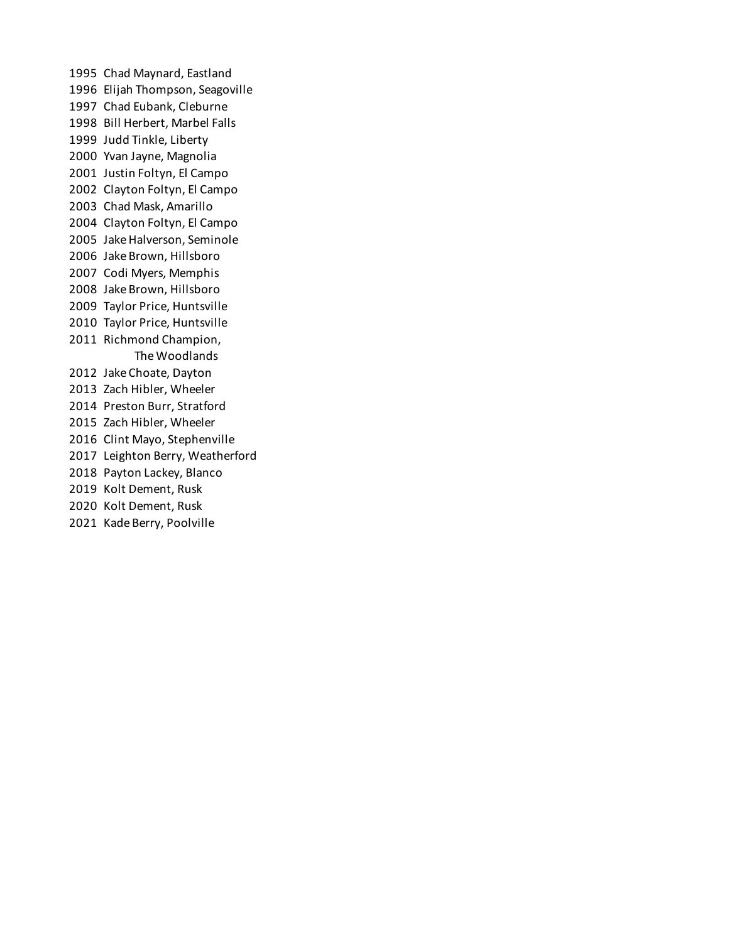Chad Maynard, Eastland Elijah Thompson, Seagoville Chad Eubank, Cleburne Bill Herbert, Marbel Falls Judd Tinkle, Liberty Yvan Jayne, Magnolia Justin Foltyn, El Campo Clayton Foltyn, El Campo Chad Mask, Amarillo Clayton Foltyn, El Campo Jake Halverson, Seminole Jake Brown, Hillsboro Codi Myers, Memphis Jake Brown, Hillsboro Taylor Price, Huntsville Taylor Price, Huntsville Richmond Champion, The Woodlands Jake Choate, Dayton Zach Hibler, Wheeler Preston Burr, Stratford Zach Hibler, Wheeler Clint Mayo, Stephenville Leighton Berry, Weatherford Payton Lackey, Blanco Kolt Dement, Rusk Kolt Dement, Rusk Kade Berry, Poolville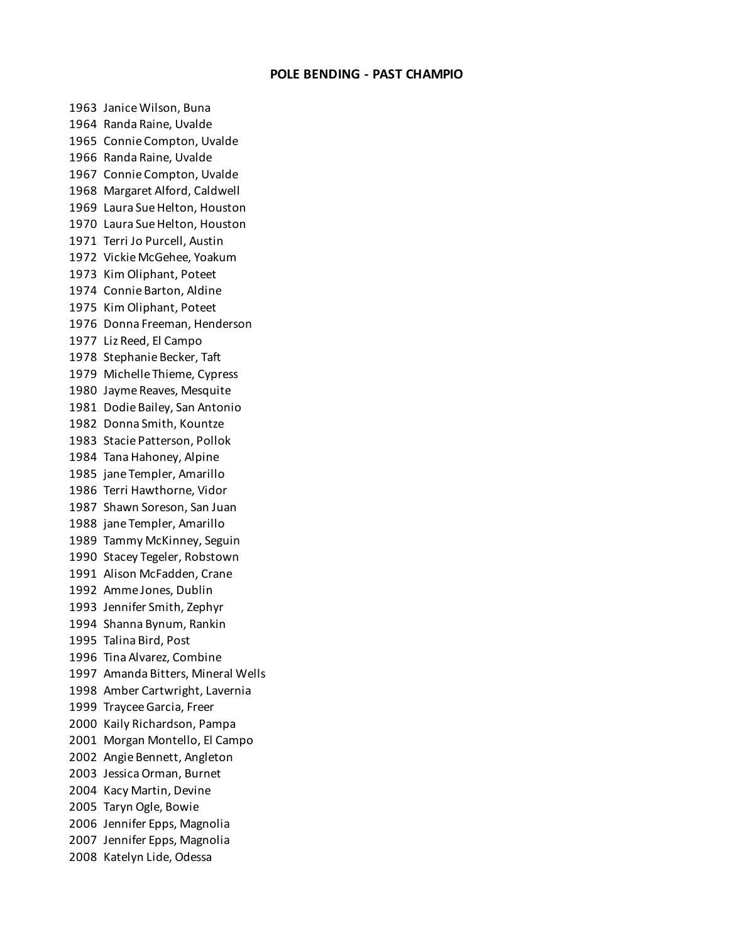## **POLE BENDING - PAST CHAMPIO**

 Janice Wilson, Buna Randa Raine, Uvalde Connie Compton, Uvalde Randa Raine, Uvalde Connie Compton, Uvalde Margaret Alford, Caldwell Laura Sue Helton, Houston Laura Sue Helton, Houston Terri Jo Purcell, Austin Vickie McGehee, Yoakum Kim Oliphant, Poteet Connie Barton, Aldine Kim Oliphant, Poteet Donna Freeman, Henderson Liz Reed, El Campo Stephanie Becker, Taft Michelle Thieme, Cypress Jayme Reaves, Mesquite Dodie Bailey, San Antonio Donna Smith, Kountze Stacie Patterson, Pollok Tana Hahoney, Alpine jane Templer, Amarillo Terri Hawthorne, Vidor Shawn Soreson, San Juan jane Templer, Amarillo Tammy McKinney, Seguin Stacey Tegeler, Robstown Alison McFadden, Crane Amme Jones, Dublin Jennifer Smith, Zephyr Shanna Bynum, Rankin Talina Bird, Post Tina Alvarez, Combine Amanda Bitters, Mineral Wells Amber Cartwright, Lavernia Traycee Garcia, Freer Kaily Richardson, Pampa Morgan Montello, El Campo Angie Bennett, Angleton Jessica Orman, Burnet Kacy Martin, Devine Taryn Ogle, Bowie Jennifer Epps, Magnolia Jennifer Epps, Magnolia Katelyn Lide, Odessa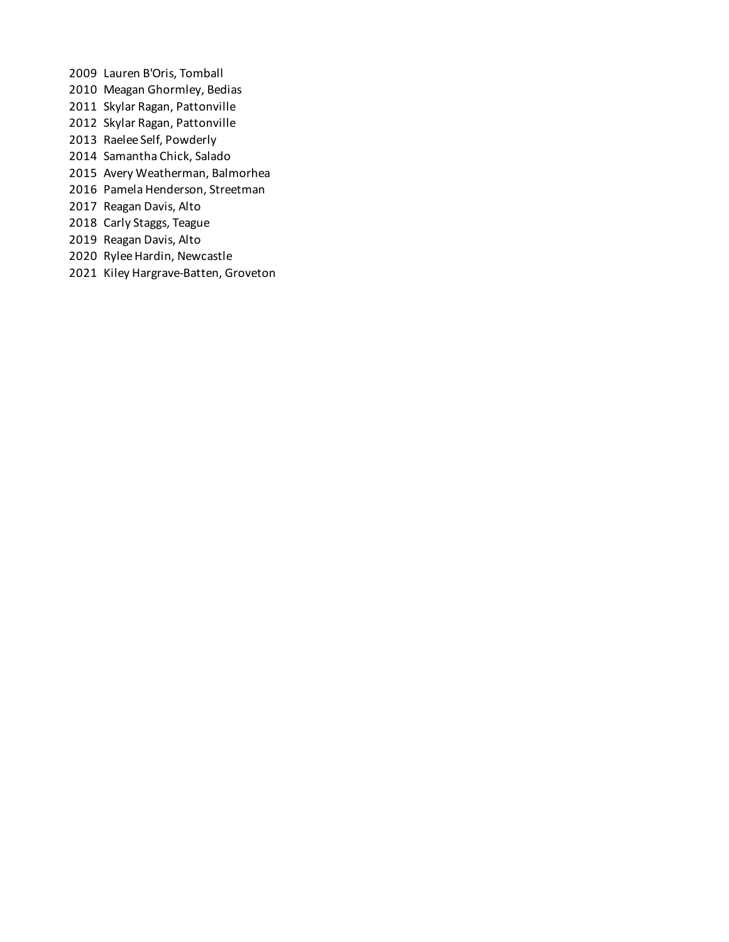- Lauren B'Oris, Tomball
- Meagan Ghormley, Bedias
- Skylar Ragan, Pattonville
- Skylar Ragan, Pattonville
- Raelee Self, Powderly
- Samantha Chick, Salado
- Avery Weatherman, Balmorhea
- Pamela Henderson, Streetman
- Reagan Davis, Alto
- Carly Staggs, Teague
- Reagan Davis, Alto
- Rylee Hardin, Newcastle
- Kiley Hargrave-Batten, Groveton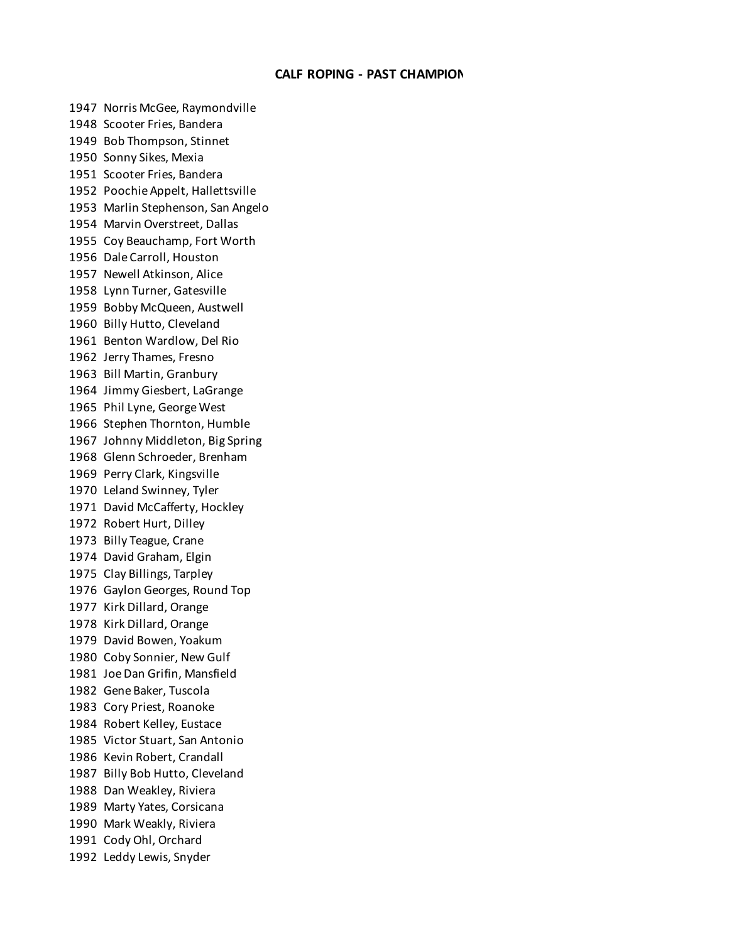## **CALF ROPING - PAST CHAMPION**

 Norris McGee, Raymondville Scooter Fries, Bandera Bob Thompson, Stinnet Sonny Sikes, Mexia Scooter Fries, Bandera Poochie Appelt, Hallettsville Marlin Stephenson, San Angelo Marvin Overstreet, Dallas Coy Beauchamp, Fort Worth Dale Carroll, Houston Newell Atkinson, Alice Lynn Turner, Gatesville Bobby McQueen, Austwell Billy Hutto, Cleveland Benton Wardlow, Del Rio Jerry Thames, Fresno Bill Martin, Granbury Jimmy Giesbert, LaGrange Phil Lyne, George West Stephen Thornton, Humble Johnny Middleton, Big Spring Glenn Schroeder, Brenham Perry Clark, Kingsville Leland Swinney, Tyler David McCafferty, Hockley Robert Hurt, Dilley Billy Teague, Crane David Graham, Elgin Clay Billings, Tarpley Gaylon Georges, Round Top Kirk Dillard, Orange Kirk Dillard, Orange David Bowen, Yoakum Coby Sonnier, New Gulf Joe Dan Grifin, Mansfield Gene Baker, Tuscola Cory Priest, Roanoke Robert Kelley, Eustace Victor Stuart, San Antonio Kevin Robert, Crandall Billy Bob Hutto, Cleveland Dan Weakley, Riviera Marty Yates, Corsicana Mark Weakly, Riviera Cody Ohl, Orchard Leddy Lewis, Snyder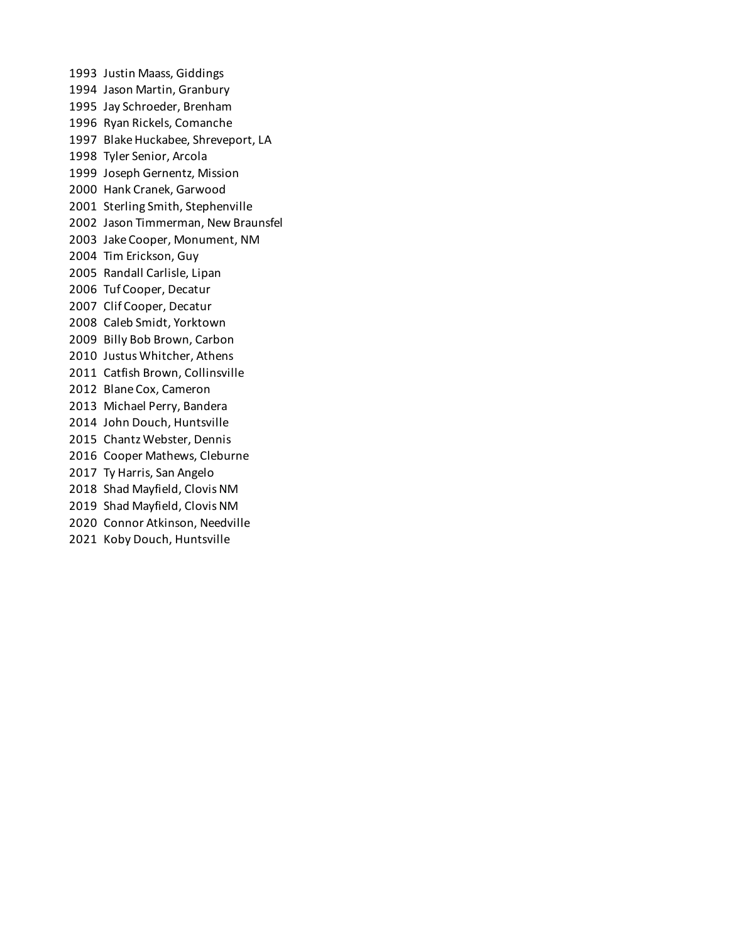Justin Maass, Giddings Jason Martin, Granbury Jay Schroeder, Brenham Ryan Rickels, Comanche Blake Huckabee, Shreveport, LA Tyler Senior, Arcola Joseph Gernentz, Mission Hank Cranek, Garwood Sterling Smith, Stephenville Jason Timmerman, New Braunsfel Jake Cooper, Monument, NM Tim Erickson, Guy Randall Carlisle, Lipan Tuf Cooper, Decatur Clif Cooper, Decatur Caleb Smidt, Yorktown Billy Bob Brown, Carbon Justus Whitcher, Athens Catfish Brown, Collinsville Blane Cox, Cameron Michael Perry, Bandera John Douch, Huntsville Chantz Webster, Dennis Cooper Mathews, Cleburne Ty Harris, San Angelo Shad Mayfield, Clovis NM Shad Mayfield, Clovis NM Connor Atkinson, Needville Koby Douch, Huntsville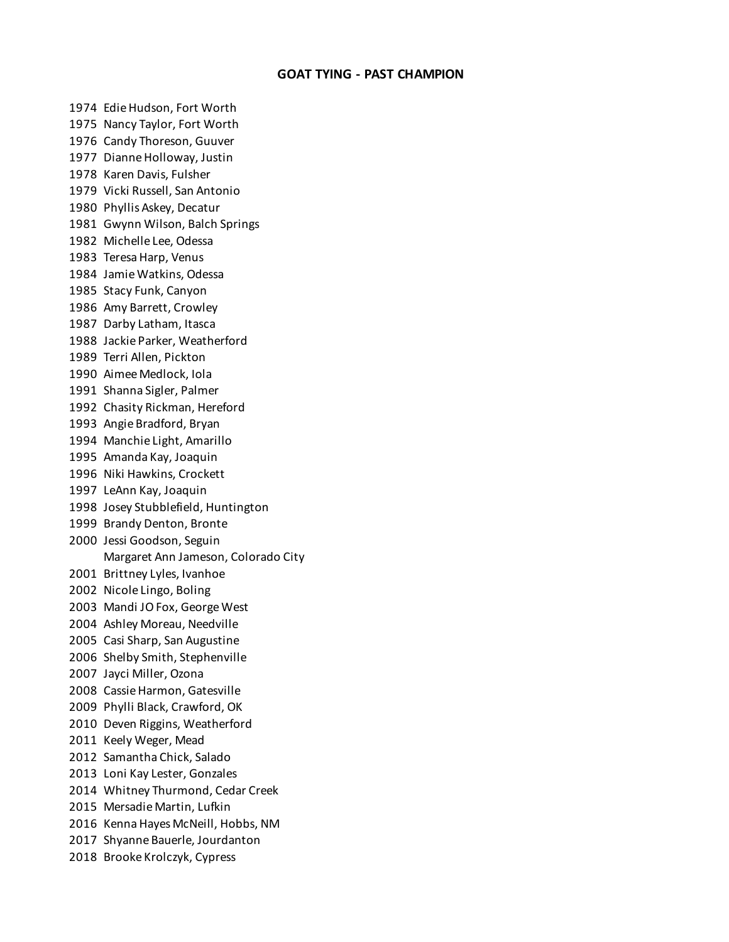# **GOAT TYING - PAST CHAMPION**

 Edie Hudson, Fort Worth Nancy Taylor, Fort Worth Candy Thoreson, Guuver Dianne Holloway, Justin Karen Davis, Fulsher Vicki Russell, San Antonio Phyllis Askey, Decatur Gwynn Wilson, Balch Springs Michelle Lee, Odessa Teresa Harp, Venus Jamie Watkins, Odessa Stacy Funk, Canyon Amy Barrett, Crowley Darby Latham, Itasca Jackie Parker, Weatherford Terri Allen, Pickton Aimee Medlock, Iola Shanna Sigler, Palmer Chasity Rickman, Hereford Angie Bradford, Bryan Manchie Light, Amarillo Amanda Kay, Joaquin Niki Hawkins, Crockett LeAnn Kay, Joaquin Josey Stubblefield, Huntington Brandy Denton, Bronte Jessi Goodson, Seguin Margaret Ann Jameson, Colorado City Brittney Lyles, Ivanhoe Nicole Lingo, Boling Mandi JO Fox, George West Ashley Moreau, Needville Casi Sharp, San Augustine Shelby Smith, Stephenville Jayci Miller, Ozona Cassie Harmon, Gatesville Phylli Black, Crawford, OK Deven Riggins, Weatherford Keely Weger, Mead Samantha Chick, Salado Loni Kay Lester, Gonzales Whitney Thurmond, Cedar Creek Mersadie Martin, Lufkin Kenna Hayes McNeill, Hobbs, NM Shyanne Bauerle, Jourdanton Brooke Krolczyk, Cypress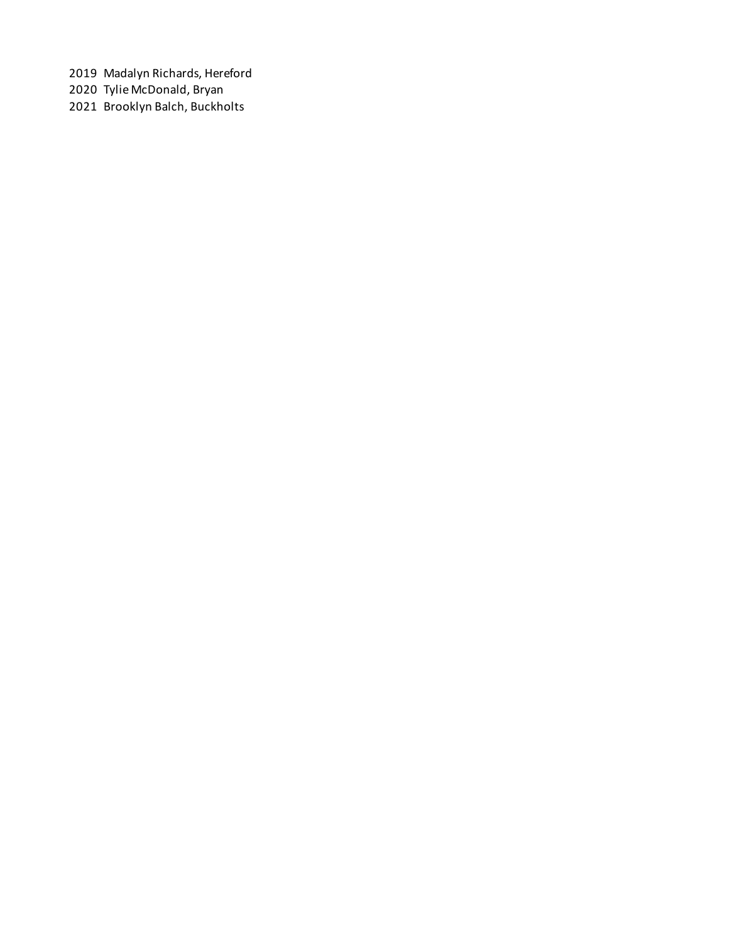Madalyn Richards, Hereford

Tylie McDonald, Bryan

Brooklyn Balch, Buckholts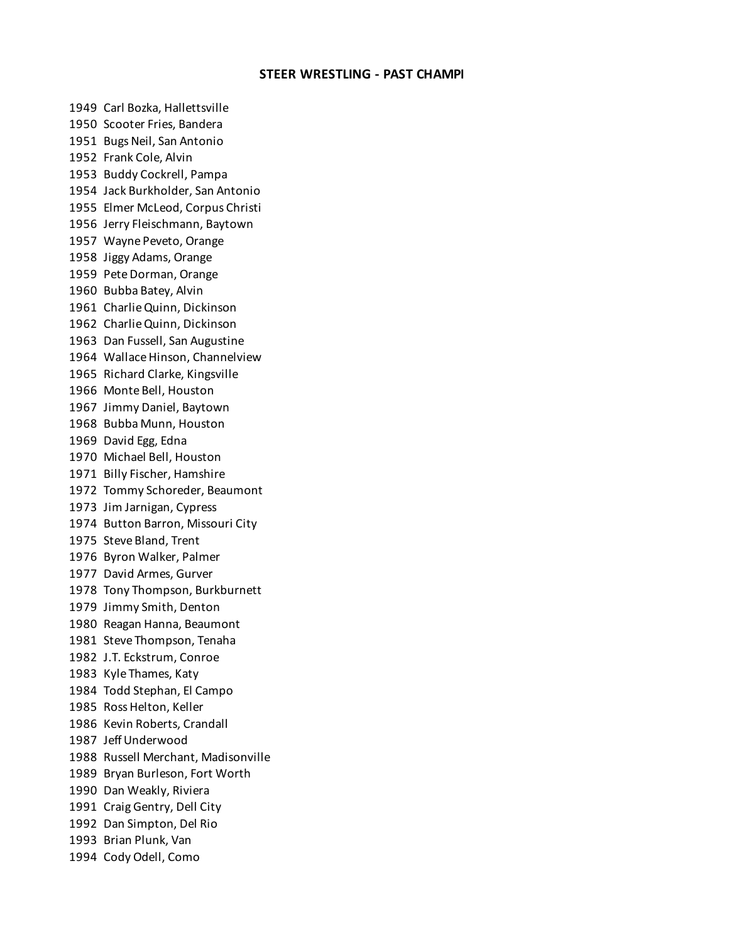## **STEER WRESTLING - PAST CHAMPI**

 Carl Bozka, Hallettsville Scooter Fries, Bandera Bugs Neil, San Antonio Frank Cole, Alvin Buddy Cockrell, Pampa Jack Burkholder, San Antonio Elmer McLeod, Corpus Christi Jerry Fleischmann, Baytown Wayne Peveto, Orange Jiggy Adams, Orange Pete Dorman, Orange Bubba Batey, Alvin Charlie Quinn, Dickinson Charlie Quinn, Dickinson Dan Fussell, San Augustine Wallace Hinson, Channelview Richard Clarke, Kingsville Monte Bell, Houston Jimmy Daniel, Baytown Bubba Munn, Houston David Egg, Edna Michael Bell, Houston Billy Fischer, Hamshire Tommy Schoreder, Beaumont Jim Jarnigan, Cypress Button Barron, Missouri City Steve Bland, Trent Byron Walker, Palmer David Armes, Gurver Tony Thompson, Burkburnett Jimmy Smith, Denton Reagan Hanna, Beaumont Steve Thompson, Tenaha J.T. Eckstrum, Conroe Kyle Thames, Katy Todd Stephan, El Campo Ross Helton, Keller Kevin Roberts, Crandall Jeff Underwood Russell Merchant, Madisonville Bryan Burleson, Fort Worth Dan Weakly, Riviera Craig Gentry, Dell City Dan Simpton, Del Rio Brian Plunk, Van Cody Odell, Como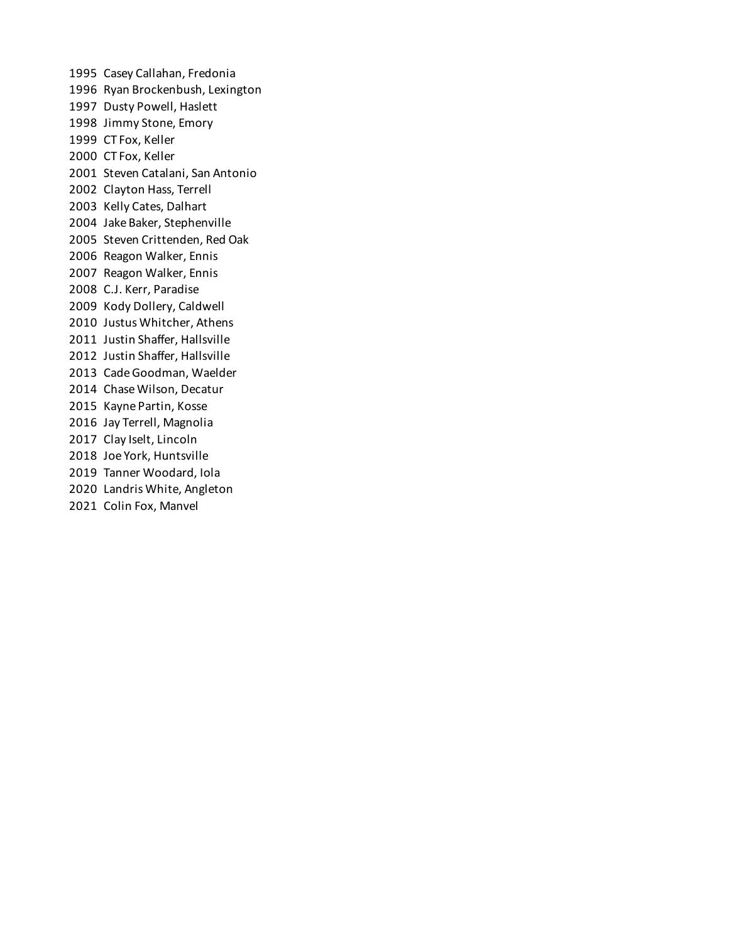Casey Callahan, Fredonia Ryan Brockenbush, Lexington Dusty Powell, Haslett Jimmy Stone, Emory CT Fox, Keller CT Fox, Keller Steven Catalani, San Antonio Clayton Hass, Terrell Kelly Cates, Dalhart Jake Baker, Stephenville Steven Crittenden, Red Oak Reagon Walker, Ennis Reagon Walker, Ennis C.J. Kerr, Paradise Kody Dollery, Caldwell Justus Whitcher, Athens Justin Shaffer, Hallsville Justin Shaffer, Hallsville Cade Goodman, Waelder Chase Wilson, Decatur Kayne Partin, Kosse Jay Terrell, Magnolia Clay Iselt, Lincoln Joe York, Huntsville Tanner Woodard, Iola Landris White, Angleton Colin Fox, Manvel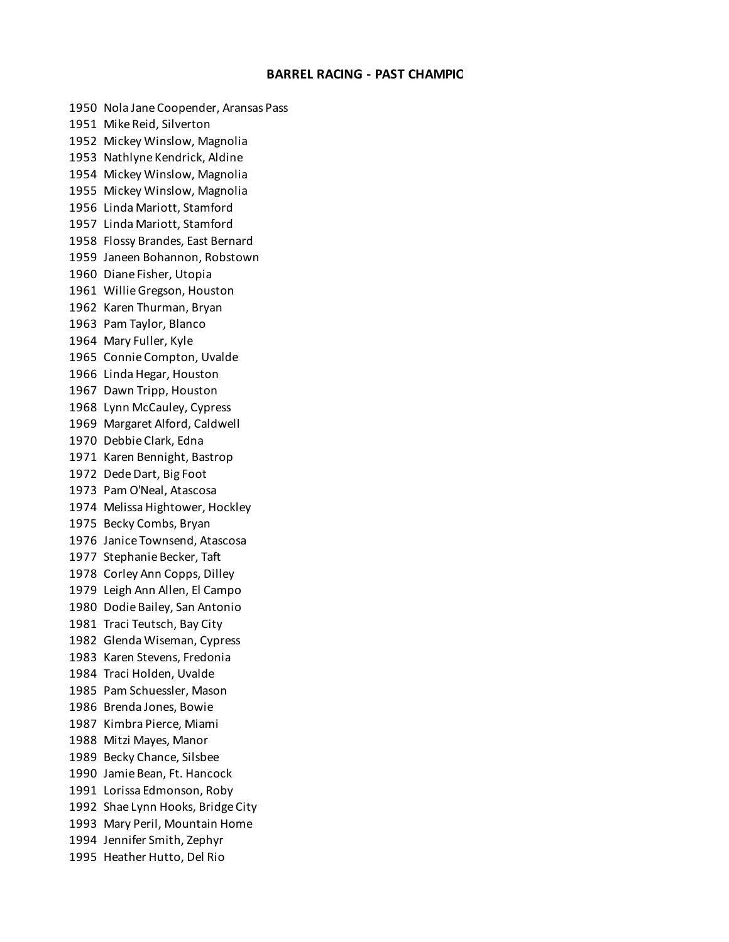### **BARREL RACING - PAST CHAMPIO**

 Nola Jane Coopender, Aransas Pass Mike Reid, Silverton Mickey Winslow, Magnolia Nathlyne Kendrick, Aldine Mickey Winslow, Magnolia Mickey Winslow, Magnolia Linda Mariott, Stamford Linda Mariott, Stamford Flossy Brandes, East Bernard Janeen Bohannon, Robstown Diane Fisher, Utopia Willie Gregson, Houston Karen Thurman, Bryan Pam Taylor, Blanco Mary Fuller, Kyle Connie Compton, Uvalde Linda Hegar, Houston Dawn Tripp, Houston Lynn McCauley, Cypress Margaret Alford, Caldwell Debbie Clark, Edna Karen Bennight, Bastrop Dede Dart, Big Foot Pam O'Neal, Atascosa Melissa Hightower, Hockley Becky Combs, Bryan Janice Townsend, Atascosa Stephanie Becker, Taft Corley Ann Copps, Dilley Leigh Ann Allen, El Campo Dodie Bailey, San Antonio Traci Teutsch, Bay City Glenda Wiseman, Cypress Karen Stevens, Fredonia Traci Holden, Uvalde Pam Schuessler, Mason Brenda Jones, Bowie Kimbra Pierce, Miami Mitzi Mayes, Manor Becky Chance, Silsbee Jamie Bean, Ft. Hancock Lorissa Edmonson, Roby Shae Lynn Hooks, Bridge City Mary Peril, Mountain Home Jennifer Smith, Zephyr Heather Hutto, Del Rio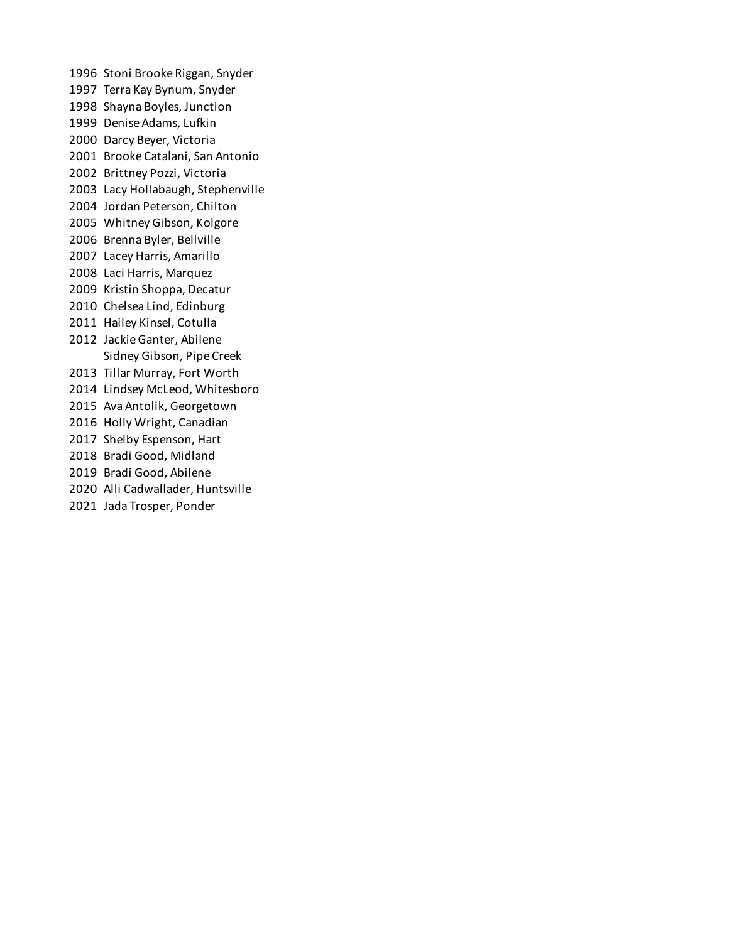Stoni Brooke Riggan, Snyder Terra Kay Bynum, Snyder Shayna Boyles, Junction Denise Adams, Lufkin Darcy Beyer, Victoria Brooke Catalani, San Antonio Brittney Pozzi, Victoria Lacy Hollabaugh, Stephenville Jordan Peterson, Chilton Whitney Gibson, Kolgore Brenna Byler, Bellville Lacey Harris, Amarillo Laci Harris, Marquez Kristin Shoppa, Decatur Chelsea Lind, Edinburg Hailey Kinsel, Cotulla Jackie Ganter, Abilene Sidney Gibson, Pipe Creek Tillar Murray, Fort Worth Lindsey McLeod, Whitesboro Ava Antolik, Georgetown Holly Wright, Canadian Shelby Espenson, Hart Bradi Good, Midland Bradi Good, Abilene Alli Cadwallader, Huntsville Jada Trosper, Ponder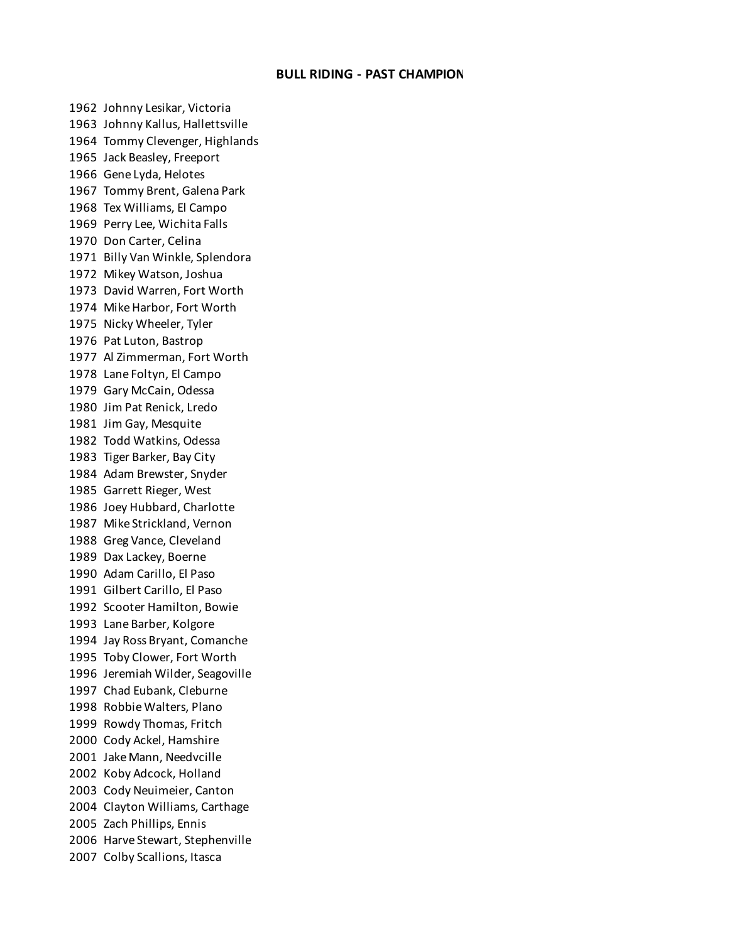## **BULL RIDING - PAST CHAMPION**

 Johnny Lesikar, Victoria Johnny Kallus, Hallettsville Tommy Clevenger, Highlands Jack Beasley, Freeport Gene Lyda, Helotes Tommy Brent, Galena Park Tex Williams, El Campo Perry Lee, Wichita Falls Don Carter, Celina Billy Van Winkle, Splendora Mikey Watson, Joshua David Warren, Fort Worth Mike Harbor, Fort Worth Nicky Wheeler, Tyler Pat Luton, Bastrop Al Zimmerman, Fort Worth Lane Foltyn, El Campo Gary McCain, Odessa Jim Pat Renick, Lredo Jim Gay, Mesquite Todd Watkins, Odessa Tiger Barker, Bay City Adam Brewster, Snyder Garrett Rieger, West Joey Hubbard, Charlotte Mike Strickland, Vernon Greg Vance, Cleveland Dax Lackey, Boerne Adam Carillo, El Paso Gilbert Carillo, El Paso Scooter Hamilton, Bowie Lane Barber, Kolgore Jay Ross Bryant, Comanche Toby Clower, Fort Worth Jeremiah Wilder, Seagoville Chad Eubank, Cleburne Robbie Walters, Plano Rowdy Thomas, Fritch Cody Ackel, Hamshire Jake Mann, Needvcille Koby Adcock, Holland Cody Neuimeier, Canton Clayton Williams, Carthage Zach Phillips, Ennis Harve Stewart, Stephenville Colby Scallions, Itasca